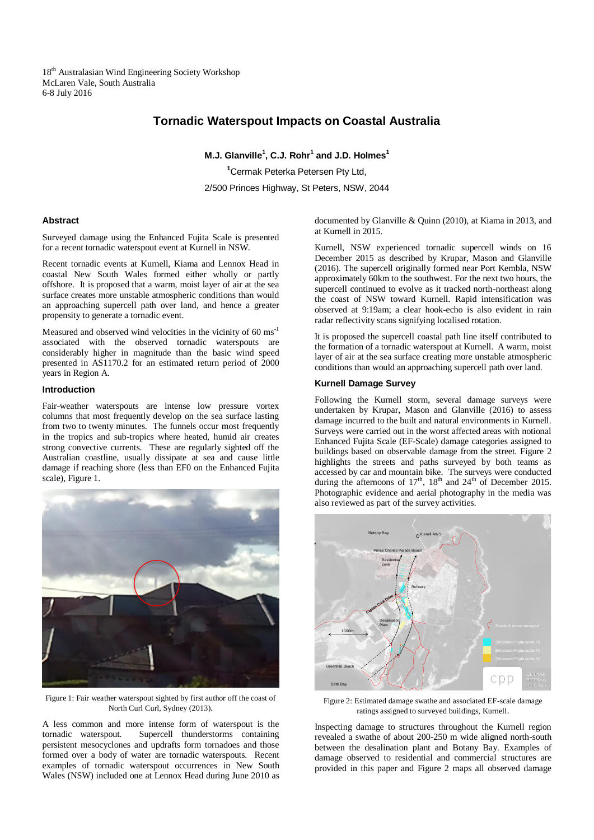18<sup>th</sup> Australasian Wind Engineering Society Workshop McLaren Vale, South Australia 6-8 July 2016

# **Tornadic Waterspout Impacts on Coastal Australia**

**M.J. Glanville<sup>1</sup> , C.J. Rohr<sup>1</sup> and J.D. Holmes<sup>1</sup>**

**<sup>1</sup>**Cermak Peterka Petersen Pty Ltd,

2/500 Princes Highway, St Peters, NSW, 2044

### **Abstract**

Surveyed damage using the Enhanced Fujita Scale is presented for a recent tornadic waterspout event at Kurnell in NSW.

Recent tornadic events at Kurnell, Kiama and Lennox Head in coastal New South Wales formed either wholly or partly offshore. It is proposed that a warm, moist layer of air at the sea surface creates more unstable atmospheric conditions than would an approaching supercell path over land, and hence a greater propensity to generate a tornadic event.

Measured and observed wind velocities in the vicinity of 60 ms-1 associated with the observed tornadic waterspouts are considerably higher in magnitude than the basic wind speed presented in AS1170.2 for an estimated return period of 2000 years in Region A.

## **Introduction**

Fair-weather waterspouts are intense low pressure vortex columns that most frequently develop on the sea surface lasting from two to twenty minutes. The funnels occur most frequently in the tropics and sub-tropics where heated, humid air creates strong convective currents. These are regularly sighted off the Australian coastline, usually dissipate at sea and cause little damage if reaching shore (less than EF0 on the Enhanced Fujita scale), Figure 1.



Figure 1: Fair weather waterspout sighted by first author off the coast of North Curl Curl, Sydney (2013).

A less common and more intense form of waterspout is the tornadic waterspout. Supercell thunderstorms containing persistent mesocyclones and updrafts form tornadoes and those formed over a body of water are tornadic waterspouts. Recent examples of tornadic waterspout occurrences in New South Wales (NSW) included one at Lennox Head during June 2010 as

documented by Glanville & Quinn (2010), at Kiama in 2013, and at Kurnell in 2015.

Kurnell, NSW experienced tornadic supercell winds on 16 December 2015 as described by Krupar, Mason and Glanville (2016). The supercell originally formed near Port Kembla, NSW approximately 60km to the southwest. For the next two hours, the supercell continued to evolve as it tracked north-northeast along the coast of NSW toward Kurnell. Rapid intensification was observed at 9:19am; a clear hook-echo is also evident in rain radar reflectivity scans signifying localised rotation.

It is proposed the supercell coastal path line itself contributed to the formation of a tornadic waterspout at Kurnell. A warm, moist layer of air at the sea surface creating more unstable atmospheric conditions than would an approaching supercell path over land.

### **Kurnell Damage Survey**

Following the Kurnell storm, several damage surveys were undertaken by Krupar, Mason and Glanville (2016) to assess damage incurred to the built and natural environments in Kurnell. Surveys were carried out in the worst affected areas with notional Enhanced Fujita Scale (EF-Scale) damage categories assigned to buildings based on observable damage from the street. Figure 2 highlights the streets and paths surveyed by both teams as accessed by car and mountain bike. The surveys were conducted during the afternoons of  $17<sup>th</sup>$ ,  $18<sup>th</sup>$  and  $24<sup>th</sup>$  of December 2015. Photographic evidence and aerial photography in the media was also reviewed as part of the survey activities.



Figure 2: Estimated damage swathe and associated EF-scale damage ratings assigned to surveyed buildings, Kurnell.

Inspecting damage to structures throughout the Kurnell region revealed a swathe of about 200-250 m wide aligned north-south between the desalination plant and Botany Bay. Examples of damage observed to residential and commercial structures are provided in this paper and Figure 2 maps all observed damage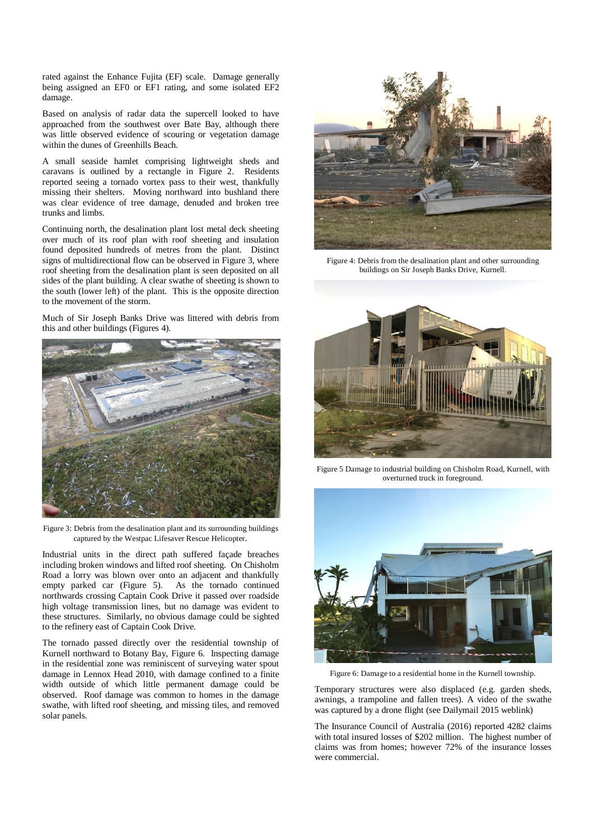rated against the Enhance Fujita (EF) scale. Damage generally being assigned an EF0 or EF1 rating, and some isolated EF2 damage.

Based on analysis of radar data the supercell looked to have approached from the southwest over Bate Bay, although there was little observed evidence of scouring or vegetation damage within the dunes of Greenhills Beach.

A small seaside hamlet comprising lightweight sheds and caravans is outlined by a rectangle in Figure 2. Residents reported seeing a tornado vortex pass to their west, thankfully missing their shelters. Moving northward into bushland there was clear evidence of tree damage, denuded and broken tree trunks and limbs.

Continuing north, the desalination plant lost metal deck sheeting over much of its roof plan with roof sheeting and insulation found deposited hundreds of metres from the plant. Distinct signs of multidirectional flow can be observed in Figure 3, where roof sheeting from the desalination plant is seen deposited on all sides of the plant building. A clear swathe of sheeting is shown to the south (lower left) of the plant. This is the opposite direction to the movement of the storm.

Much of Sir Joseph Banks Drive was littered with debris from this and other buildings (Figures 4).



Figure 3: Debris from the desalination plant and its surrounding buildings captured by the Westpac Lifesaver Rescue Helicopter.

Industrial units in the direct path suffered façade breaches including broken windows and lifted roof sheeting. On Chisholm Road a lorry was blown over onto an adjacent and thankfully empty parked car (Figure 5). As the tornado continued northwards crossing Captain Cook Drive it passed over roadside high voltage transmission lines, but no damage was evident to these structures. Similarly, no obvious damage could be sighted to the refinery east of Captain Cook Drive.

The tornado passed directly over the residential township of Kurnell northward to Botany Bay, Figure 6. Inspecting damage in the residential zone was reminiscent of surveying water spout damage in Lennox Head 2010, with damage confined to a finite width outside of which little permanent damage could be observed. Roof damage was common to homes in the damage swathe, with lifted roof sheeting, and missing tiles, and removed solar panels.



Figure 4: Debris from the desalination plant and other surrounding buildings on Sir Joseph Banks Drive, Kurnell.



Figure 5 Damage to industrial building on Chisholm Road, Kurnell, with overturned truck in foreground.



Figure 6: Damage to a residential home in the Kurnell township.

Temporary structures were also displaced (e.g. garden sheds, awnings, a trampoline and fallen trees). A video of the swathe was captured by a drone flight (see Dailymail 2015 weblink)

The Insurance Council of Australia (2016) reported 4282 claims with total insured losses of \$202 million. The highest number of claims was from homes; however 72% of the insurance losses were commercial.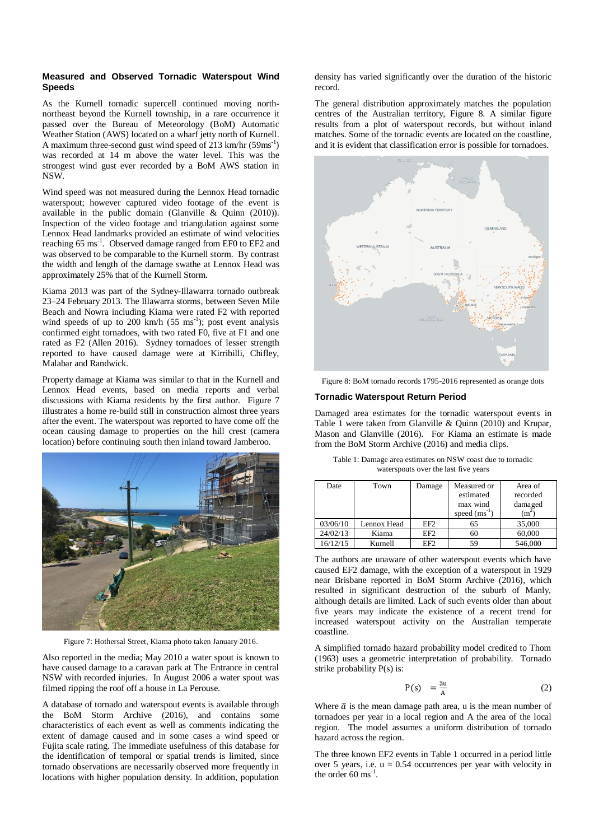### **Measured and Observed Tornadic Waterspout Wind Speeds**

As the Kurnell tornadic supercell continued moving northnortheast beyond the Kurnell township, in a rare occurrence it passed over the Bureau of Meteorology (BoM) Automatic Weather Station (AWS) located on a wharf jetty north of Kurnell. A maximum three-second gust wind speed of  $213 \text{ km/hr}$  (59ms<sup>-1</sup>) was recorded at 14 m above the water level. This was the strongest wind gust ever recorded by a BoM AWS station in NSW.

Wind speed was not measured during the Lennox Head tornadic waterspout; however captured video footage of the event is available in the public domain (Glanville & Quinn (2010)). Inspection of the video footage and triangulation against some Lennox Head landmarks provided an estimate of wind velocities reaching 65 ms<sup>-1</sup>. Observed damage ranged from EF0 to EF2 and was observed to be comparable to the Kurnell storm. By contrast the width and length of the damage swathe at Lennox Head was approximately 25% that of the Kurnell Storm.

Kiama 2013 was part of the Sydney-Illawarra tornado outbreak 23–24 February 2013. The Illawarra storms, between Seven Mile Beach and Nowra including Kiama were rated F2 with reported wind speeds of up to 200  $km/h$  (55 ms<sup>-1</sup>); post event analysis confirmed eight tornadoes, with two rated F0, five at F1 and one rated as F2 (Allen 2016). Sydney tornadoes of lesser strength reported to have caused damage were at Kirribilli, Chifley, Malabar and Randwick.

Property damage at Kiama was similar to that in the Kurnell and Lennox Head events, based on media reports and verbal discussions with Kiama residents by the first author. Figure 7 illustrates a home re-build still in construction almost three years after the event. The waterspout was reported to have come off the ocean causing damage to properties on the hill crest (camera location) before continuing south then inland toward Jamberoo.



Figure 7: Hothersal Street, Kiama photo taken January 2016.

Also reported in the media; May 2010 a water spout is known to have caused damage to a caravan park at The Entrance in central NSW with recorded injuries. In August 2006 a water spout was filmed ripping the roof off a house in La Perouse.

A database of tornado and waterspout events is available through the BoM Storm Archive (2016), and contains some characteristics of each event as well as comments indicating the extent of damage caused and in some cases a wind speed or Fujita scale rating. The immediate usefulness of this database for the identification of temporal or spatial trends is limited, since tornado observations are necessarily observed more frequently in locations with higher population density. In addition, population

density has varied significantly over the duration of the historic record.

The general distribution approximately matches the population centres of the Australian territory, Figure 8. A similar figure results from a plot of waterspout records, but without inland matches. Some of the tornadic events are located on the coastline, and it is evident that classification error is possible for tornadoes.



Figure 8: BoM tornado records 1795-2016 represented as orange dots

### **Tornadic Waterspout Return Period**

Damaged area estimates for the tornadic waterspout events in Table 1 were taken from Glanville & Ouinn  $(2010)$  and Krupar, Mason and Glanville (2016). For Kiama an estimate is made from the BoM Storm Archive (2016) and media clips.

| Table 1: Damage area estimates on NSW coast due to tornadic |  |  |
|-------------------------------------------------------------|--|--|
| waterspouts over the last five years                        |  |  |

| Date     | Town        | Damage          | Measured or<br>estimated<br>max wind<br>speed $(ms^{-1})$ | Area of<br>recorded<br>damaged<br>(m <sup>2</sup> ) |
|----------|-------------|-----------------|-----------------------------------------------------------|-----------------------------------------------------|
| 03/06/10 | Lennox Head | EF <sub>2</sub> | 65                                                        | 35,000                                              |
| 24/02/13 | Kiama       | EF <sub>2</sub> | 60                                                        | 60,000                                              |
| 16/12/15 | Kurnell     | EF <sub>2</sub> | 59                                                        | 546,000                                             |

The authors are unaware of other waterspout events which have caused EF2 damage, with the exception of a waterspout in 1929 near Brisbane reported in BoM Storm Archive (2016), which resulted in significant destruction of the suburb of Manly, although details are limited. Lack of such events older than about five years may indicate the existence of a recent trend for increased waterspout activity on the Australian temperate coastline.

A simplified tornado hazard probability model credited to Thom (1963) uses a geometric interpretation of probability. Tornado strike probability P(s) is:

$$
P(s) = \frac{\bar{a}u}{A} \tag{2}
$$

Where  $\bar{a}$  is the mean damage path area, u is the mean number of tornadoes per year in a local region and A the area of the local region. The model assumes a uniform distribution of tornado hazard across the region.

The three known EF2 events in Table 1 occurred in a period little over 5 years, i.e.  $u = 0.54$  occurrences per year with velocity in the order  $60 \text{ ms}^{-1}$ .